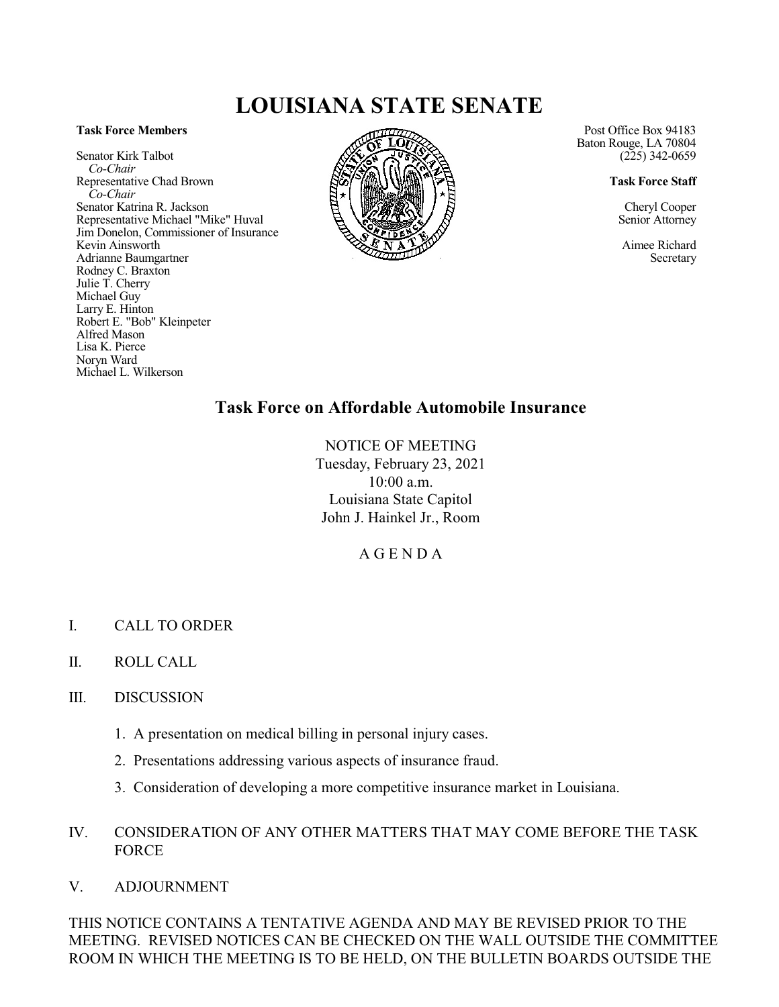# **LOUISIANA STATE SENATE**

#### **Task Force Members**

Senator Kirk Talbot *Co-Chair* Representative Chad Brown *Co-Chair* Senator Katrina R. Jackson Representative Michael "Mike" Huval Jim Donelon, Commissioner of Insurance Kevin Ainsworth Adrianne Baumgartner Rodney C. Braxton Julie T. Cherry Michael Guy Larry E. Hinton Robert E. "Bob" Kleinpeter Alfred Mason Lisa K. Pierce Noryn Ward Michael L. Wilkerson



Post Office Box 94183 Baton Rouge, LA 70804  $(225)$  342-0659

**Task Force Staff**

Cheryl Cooper Senior Attorney

Aimee Richard Secretary

# **Task Force on Affordable Automobile Insurance**

NOTICE OF MEETING Tuesday, February 23, 2021 10:00 a.m. Louisiana State Capitol John J. Hainkel Jr., Room

A G E N D A

- I. CALL TO ORDER
- II. ROLL CALL
- III. DISCUSSION
	- 1. A presentation on medical billing in personal injury cases.
	- 2. Presentations addressing various aspects of insurance fraud.
	- 3. Consideration of developing a more competitive insurance market in Louisiana.

### IV. CONSIDERATION OF ANY OTHER MATTERS THAT MAY COME BEFORE THE TASK FORCE

V. ADJOURNMENT

THIS NOTICE CONTAINS A TENTATIVE AGENDA AND MAY BE REVISED PRIOR TO THE MEETING. REVISED NOTICES CAN BE CHECKED ON THE WALL OUTSIDE THE COMMITTEE ROOM IN WHICH THE MEETING IS TO BE HELD, ON THE BULLETIN BOARDS OUTSIDE THE